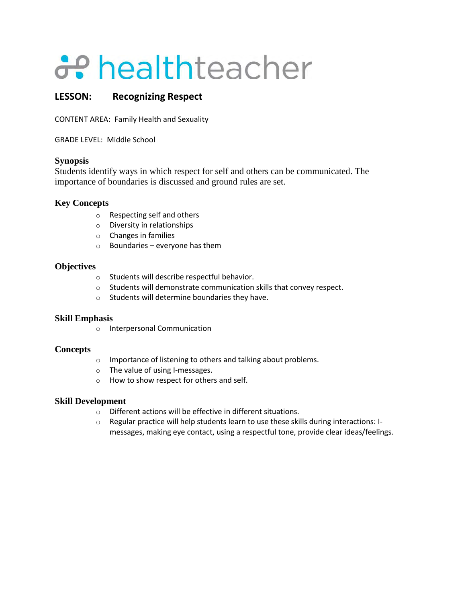# a<sup>t</sup>healthteacher

## **LESSON: Recognizing Respect**

CONTENT AREA: Family Health and Sexuality

GRADE LEVEL: Middle School

## **Synopsis**

Students identify ways in which respect for self and others can be communicated. The importance of boundaries is discussed and ground rules are set.

## **Key Concepts**

- o Respecting self and others
- o Diversity in relationships
- o Changes in families
- $\circ$  Boundaries everyone has them

### **Objectives**

- o Students will describe respectful behavior.
- o Students will demonstrate communication skills that convey respect.
- o Students will determine boundaries they have.

## **Skill Emphasis**

o Interpersonal Communication

## **Concepts**

- o Importance of listening to others and talking about problems.
- o The value of using I-messages.
- o How to show respect for others and self.

- o Different actions will be effective in different situations.
- o Regular practice will help students learn to use these skills during interactions: Imessages, making eye contact, using a respectful tone, provide clear ideas/feelings.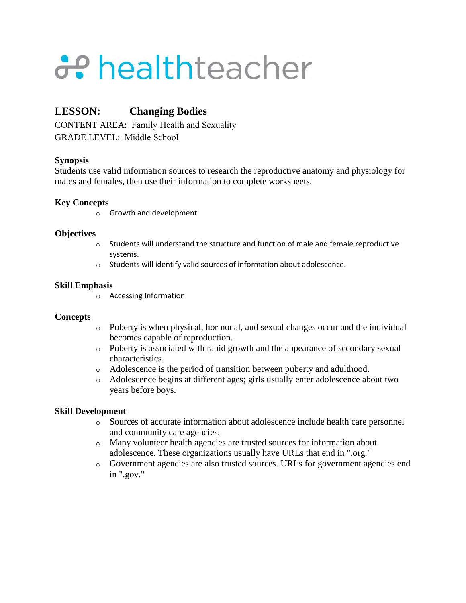# a<sup>t</sup>healthteacher

## **LESSON: Changing Bodies**

CONTENT AREA: Family Health and Sexuality GRADE LEVEL: Middle School

## **Synopsis**

Students use valid information sources to research the reproductive anatomy and physiology for males and females, then use their information to complete worksheets.

## **Key Concepts**

o Growth and development

## **Objectives**

- $\circ$  Students will understand the structure and function of male and female reproductive systems.
- o Students will identify valid sources of information about adolescence.

## **Skill Emphasis**

o Accessing Information

## **Concepts**

- o Puberty is when physical, hormonal, and sexual changes occur and the individual becomes capable of reproduction.
- o Puberty is associated with rapid growth and the appearance of secondary sexual characteristics.
- o Adolescence is the period of transition between puberty and adulthood.
- o Adolescence begins at different ages; girls usually enter adolescence about two years before boys.

- o Sources of accurate information about adolescence include health care personnel and community care agencies.
- o Many volunteer health agencies are trusted sources for information about adolescence. These organizations usually have URLs that end in ".org."
- o Government agencies are also trusted sources. URLs for government agencies end in ".gov."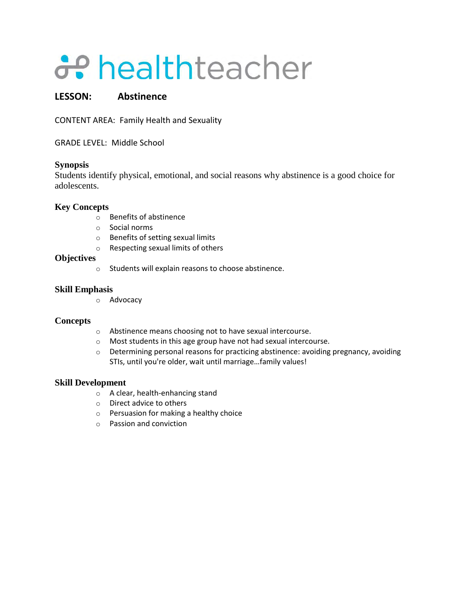# healthteacher

## **LESSON: Abstinence**

CONTENT AREA: Family Health and Sexuality

GRADE LEVEL: Middle School

### **Synopsis**

Students identify physical, emotional, and social reasons why abstinence is a good choice for adolescents.

## **Key Concepts**

- o Benefits of abstinence
- o Social norms
- o Benefits of setting sexual limits
- o Respecting sexual limits of others

### **Objectives**

o Students will explain reasons to choose abstinence.

### **Skill Emphasis**

o Advocacy

#### **Concepts**

- o Abstinence means choosing not to have sexual intercourse.
- $\circ$  Most students in this age group have not had sexual intercourse.
- $\circ$  Determining personal reasons for practicing abstinence: avoiding pregnancy, avoiding STIs, until you're older, wait until marriage…family values!

- o A clear, health-enhancing stand
- o Direct advice to others
- o Persuasion for making a healthy choice
- o Passion and conviction